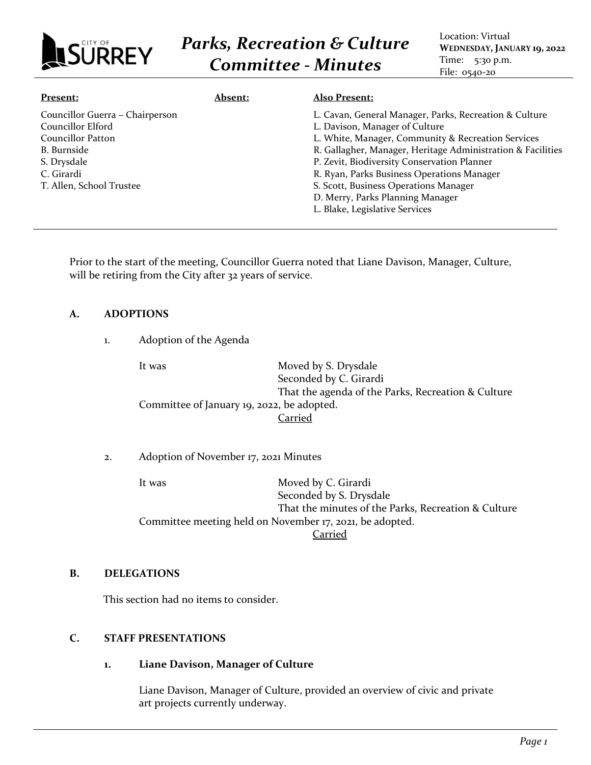

| Present:                        | <b>Absent:</b> | <b>Also Present:</b>                                        |
|---------------------------------|----------------|-------------------------------------------------------------|
| Councillor Guerra – Chairperson |                | L. Cavan, General Manager, Parks, Recreation & Culture      |
| Councillor Elford               |                | L. Davison, Manager of Culture                              |
| Councillor Patton               |                | L. White, Manager, Community & Recreation Services          |
| <b>B.</b> Burnside              |                | R. Gallagher, Manager, Heritage Administration & Facilities |
| S. Drysdale                     |                | P. Zevit, Biodiversity Conservation Planner                 |
| C. Girardi                      |                | R. Ryan, Parks Business Operations Manager                  |
| T. Allen, School Trustee        |                | S. Scott, Business Operations Manager                       |
|                                 |                | D. Merry, Parks Planning Manager                            |
|                                 |                | L. Blake, Legislative Services                              |
|                                 |                |                                                             |

Prior to the start of the meeting, Councillor Guerra noted that Liane Davison, Manager, Culture, will be retiring from the City after 32 years of service.

## **A. ADOPTIONS**

1. Adoption of the Agenda

It was Moved by S. Drysdale Seconded by C. Girardi That the agenda of the Parks, Recreation & Culture Committee of January 19, 2022, be adopted. Carried

2. Adoption of November 17, 2021 Minutes

It was Moved by C. Girardi Seconded by S. Drysdale That the minutes of the Parks, Recreation & Culture Committee meeting held on November 17, 2021, be adopted. **Carried** 

#### **B. DELEGATIONS**

This section had no items to consider.

## **C. STAFF PRESENTATIONS**

## **1. Liane Davison, Manager of Culture**

Liane Davison, Manager of Culture, provided an overview of civic and private art projects currently underway.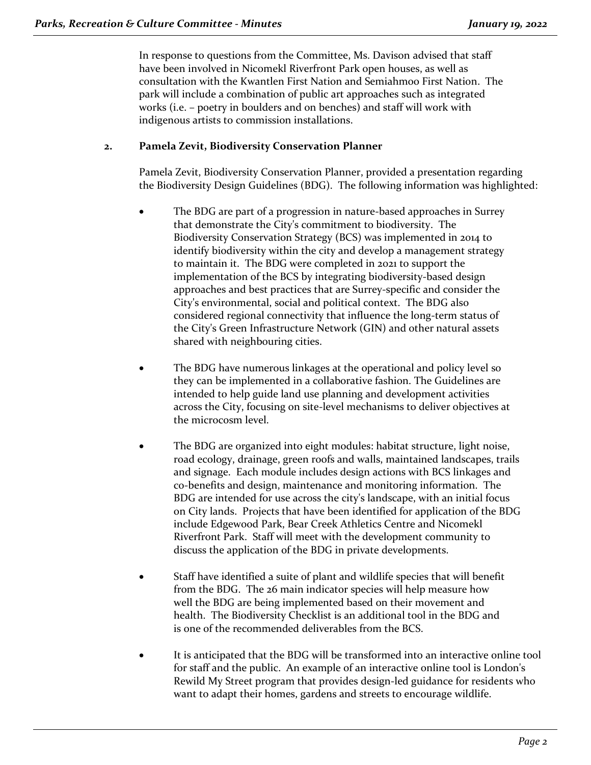In response to questions from the Committee, Ms. Davison advised that staff have been involved in Nicomekl Riverfront Park open houses, as well as consultation with the Kwantlen First Nation and Semiahmoo First Nation. The park will include a combination of public art approaches such as integrated works (i.e. – poetry in boulders and on benches) and staff will work with indigenous artists to commission installations.

# **2. Pamela Zevit, Biodiversity Conservation Planner**

Pamela Zevit, Biodiversity Conservation Planner, provided a presentation regarding the Biodiversity Design Guidelines (BDG). The following information was highlighted:

- The BDG are part of a progression in nature-based approaches in Surrey that demonstrate the City's commitment to biodiversity. The Biodiversity Conservation Strategy (BCS) was implemented in 2014 to identify biodiversity within the city and develop a management strategy to maintain it. The BDG were completed in 2021 to support the implementation of the BCS by integrating biodiversity-based design approaches and best practices that are Surrey-specific and consider the City's environmental, social and political context. The BDG also considered regional connectivity that influence the long-term status of the City's Green Infrastructure Network (GIN) and other natural assets shared with neighbouring cities.
- The BDG have numerous linkages at the operational and policy level so they can be implemented in a collaborative fashion. The Guidelines are intended to help guide land use planning and development activities across the City, focusing on site-level mechanisms to deliver objectives at the microcosm level.
- The BDG are organized into eight modules: habitat structure, light noise, road ecology, drainage, green roofs and walls, maintained landscapes, trails and signage. Each module includes design actions with BCS linkages and co-benefits and design, maintenance and monitoring information. The BDG are intended for use across the city's landscape, with an initial focus on City lands. Projects that have been identified for application of the BDG include Edgewood Park, Bear Creek Athletics Centre and Nicomekl Riverfront Park. Staff will meet with the development community to discuss the application of the BDG in private developments.
- Staff have identified a suite of plant and wildlife species that will benefit from the BDG. The 26 main indicator species will help measure how well the BDG are being implemented based on their movement and health. The Biodiversity Checklist is an additional tool in the BDG and is one of the recommended deliverables from the BCS.
- It is anticipated that the BDG will be transformed into an interactive online tool for staff and the public. An example of an interactive online tool is London's Rewild My Street program that provides design-led guidance for residents who want to adapt their homes, gardens and streets to encourage wildlife.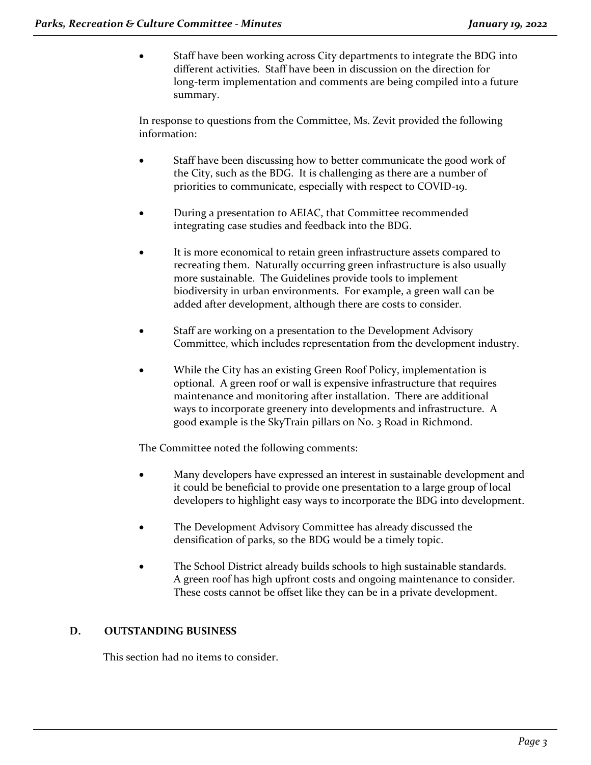• Staff have been working across City departments to integrate the BDG into different activities. Staff have been in discussion on the direction for long-term implementation and comments are being compiled into a future summary.

In response to questions from the Committee, Ms. Zevit provided the following information:

- Staff have been discussing how to better communicate the good work of the City, such as the BDG. It is challenging as there are a number of priorities to communicate, especially with respect to COVID-19.
- During a presentation to AEIAC, that Committee recommended integrating case studies and feedback into the BDG.
- It is more economical to retain green infrastructure assets compared to recreating them. Naturally occurring green infrastructure is also usually more sustainable. The Guidelines provide tools to implement biodiversity in urban environments. For example, a green wall can be added after development, although there are costs to consider.
- Staff are working on a presentation to the Development Advisory Committee, which includes representation from the development industry.
- While the City has an existing Green Roof Policy, implementation is optional. A green roof or wall is expensive infrastructure that requires maintenance and monitoring after installation. There are additional ways to incorporate greenery into developments and infrastructure. A good example is the SkyTrain pillars on No. 3 Road in Richmond.

The Committee noted the following comments:

- Many developers have expressed an interest in sustainable development and it could be beneficial to provide one presentation to a large group of local developers to highlight easy ways to incorporate the BDG into development.
- The Development Advisory Committee has already discussed the densification of parks, so the BDG would be a timely topic.
- The School District already builds schools to high sustainable standards. A green roof has high upfront costs and ongoing maintenance to consider. These costs cannot be offset like they can be in a private development.

## **D. OUTSTANDING BUSINESS**

This section had no items to consider.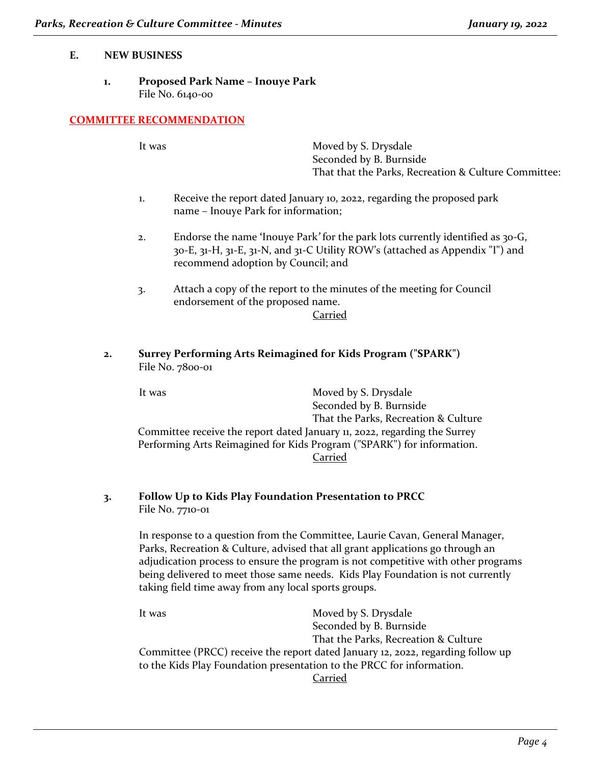#### **E. NEW BUSINESS**

### **1. Proposed Park Name – Inouye Park** File No. 6140-00

### **COMMITTEE RECOMMENDATION**

It was Moved by S. Drysdale Seconded by B. Burnside That that the Parks, Recreation & Culture Committee:

- 1. Receive the report dated January 10, 2022, regarding the proposed park name – Inouye Park for information;
- 2. Endorse the name **'**Inouye Park*'* for the park lots currently identified as 30-G, 30-E, 31-H, 31-E, 31-N, and 31-C Utility ROW's (attached as Appendix "I") and recommend adoption by Council; and
- 3. Attach a copy of the report to the minutes of the meeting for Council endorsement of the proposed name.

Carried

**2. Surrey Performing Arts Reimagined for Kids Program ("SPARK")** File No. 7800-01

It was Moved by S. Drysdale Seconded by B. Burnside That the Parks, Recreation & Culture Committee receive the report dated January 11, 2022, regarding the Surrey Performing Arts Reimagined for Kids Program ("SPARK") for information. Carried

## **3. Follow Up to Kids Play Foundation Presentation to PRCC** File No. 7710-01

In response to a question from the Committee, Laurie Cavan, General Manager, Parks, Recreation & Culture, advised that all grant applications go through an adjudication process to ensure the program is not competitive with other programs being delivered to meet those same needs. Kids Play Foundation is not currently taking field time away from any local sports groups.

It was Moved by S. Drysdale Seconded by B. Burnside That the Parks, Recreation & Culture Committee (PRCC) receive the report dated January 12, 2022, regarding follow up to the Kids Play Foundation presentation to the PRCC for information. Carried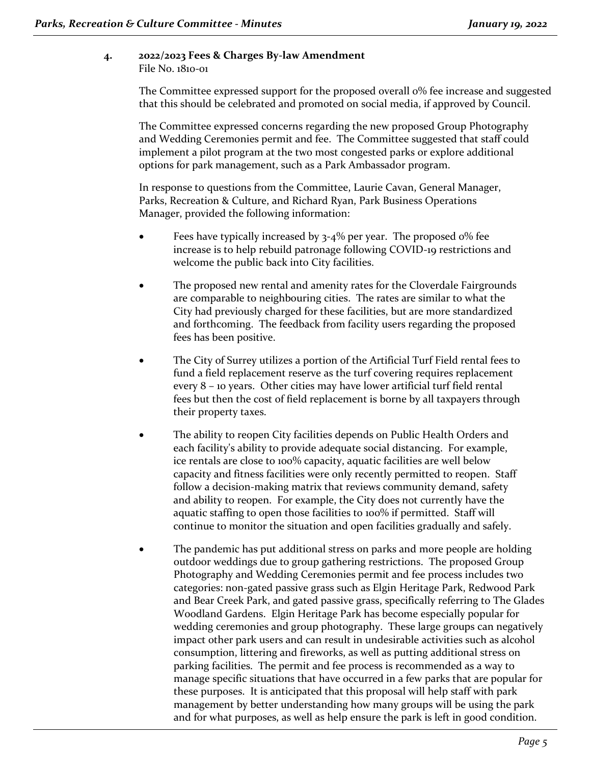### **4. 2022/2023 Fees & Charges By-law Amendment** File No. 1810-01

The Committee expressed support for the proposed overall 0% fee increase and suggested that this should be celebrated and promoted on social media, if approved by Council.

The Committee expressed concerns regarding the new proposed Group Photography and Wedding Ceremonies permit and fee. The Committee suggested that staff could implement a pilot program at the two most congested parks or explore additional options for park management, such as a Park Ambassador program.

In response to questions from the Committee, Laurie Cavan, General Manager, Parks, Recreation & Culture, and Richard Ryan, Park Business Operations Manager, provided the following information:

- Fees have typically increased by  $3-4\%$  per year. The proposed o% fee increase is to help rebuild patronage following COVID-19 restrictions and welcome the public back into City facilities.
- The proposed new rental and amenity rates for the Cloverdale Fairgrounds are comparable to neighbouring cities. The rates are similar to what the City had previously charged for these facilities, but are more standardized and forthcoming. The feedback from facility users regarding the proposed fees has been positive.
- The City of Surrey utilizes a portion of the Artificial Turf Field rental fees to fund a field replacement reserve as the turf covering requires replacement every 8 – 10 years. Other cities may have lower artificial turf field rental fees but then the cost of field replacement is borne by all taxpayers through their property taxes.
- The ability to reopen City facilities depends on Public Health Orders and each facility's ability to provide adequate social distancing. For example, ice rentals are close to 100% capacity, aquatic facilities are well below capacity and fitness facilities were only recently permitted to reopen. Staff follow a decision-making matrix that reviews community demand, safety and ability to reopen. For example, the City does not currently have the aquatic staffing to open those facilities to 100% if permitted. Staff will continue to monitor the situation and open facilities gradually and safely.
- The pandemic has put additional stress on parks and more people are holding outdoor weddings due to group gathering restrictions. The proposed Group Photography and Wedding Ceremonies permit and fee process includes two categories: non-gated passive grass such as Elgin Heritage Park, Redwood Park and Bear Creek Park, and gated passive grass, specifically referring to The Glades Woodland Gardens. Elgin Heritage Park has become especially popular for wedding ceremonies and group photography. These large groups can negatively impact other park users and can result in undesirable activities such as alcohol consumption, littering and fireworks, as well as putting additional stress on parking facilities. The permit and fee process is recommended as a way to manage specific situations that have occurred in a few parks that are popular for these purposes. It is anticipated that this proposal will help staff with park management by better understanding how many groups will be using the park and for what purposes, as well as help ensure the park is left in good condition.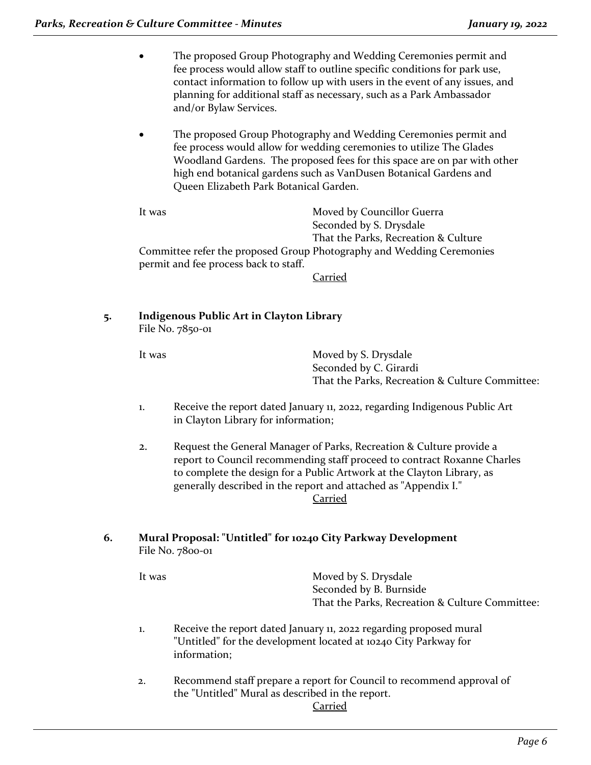- The proposed Group Photography and Wedding Ceremonies permit and fee process would allow staff to outline specific conditions for park use, contact information to follow up with users in the event of any issues, and planning for additional staff as necessary, such as a Park Ambassador and/or Bylaw Services.
- The proposed Group Photography and Wedding Ceremonies permit and fee process would allow for wedding ceremonies to utilize The Glades Woodland Gardens. The proposed fees for this space are on par with other high end botanical gardens such as VanDusen Botanical Gardens and Queen Elizabeth Park Botanical Garden.

It was **Moved by Councillor Guerra** Seconded by S. Drysdale That the Parks, Recreation & Culture Committee refer the proposed Group Photography and Wedding Ceremonies permit and fee process back to staff.

Carried

**5. Indigenous Public Art in Clayton Library** File No. 7850-01

It was Moved by S. Drysdale Seconded by C. Girardi That the Parks, Recreation & Culture Committee:

- 1. Receive the report dated January 11, 2022, regarding Indigenous Public Art in Clayton Library for information;
- 2. Request the General Manager of Parks, Recreation & Culture provide a report to Council recommending staff proceed to contract Roxanne Charles to complete the design for a Public Artwork at the Clayton Library, as generally described in the report and attached as "Appendix I." Carried

# **6. Mural Proposal: "Untitled" for 10240 City Parkway Development** File No. 7800-01

It was Moved by S. Drysdale Seconded by B. Burnside That the Parks, Recreation & Culture Committee:

- 1. Receive the report dated January 11, 2022 regarding proposed mural "Untitled" for the development located at 10240 City Parkway for information;
- 2. Recommend staff prepare a report for Council to recommend approval of the "Untitled" Mural as described in the report.

Carried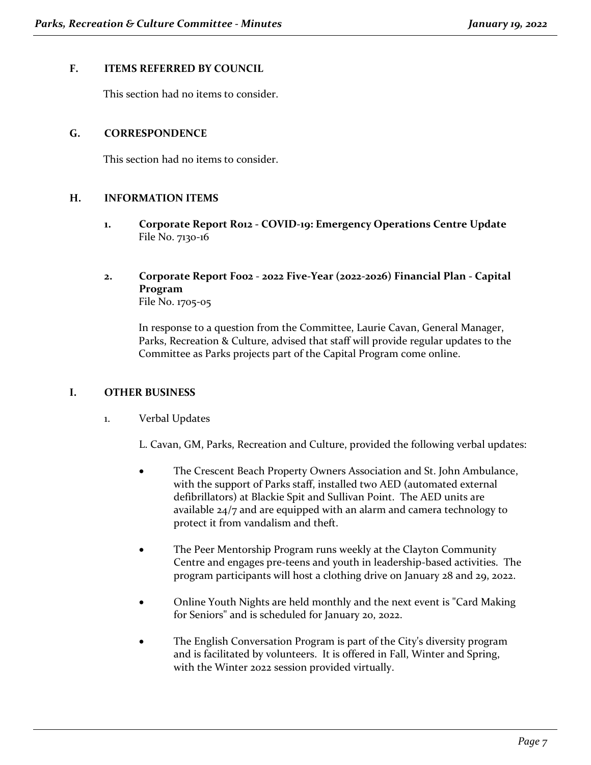#### **F. ITEMS REFERRED BY COUNCIL**

This section had no items to consider.

### **G. CORRESPONDENCE**

This section had no items to consider.

### **H. INFORMATION ITEMS**

- **1. Corporate Report R012 - COVID-19: Emergency Operations Centre Update** File No. 7130-16
- **2. Corporate Report F002 2022 Five-Year (2022-2026) Financial Plan - Capital Program**

File No. 1705-05

In response to a question from the Committee, Laurie Cavan, General Manager, Parks, Recreation & Culture, advised that staff will provide regular updates to the Committee as Parks projects part of the Capital Program come online.

## **I. OTHER BUSINESS**

1. Verbal Updates

L. Cavan, GM, Parks, Recreation and Culture, provided the following verbal updates:

- The Crescent Beach Property Owners Association and St. John Ambulance, with the support of Parks staff, installed two AED (automated external defibrillators) at Blackie Spit and Sullivan Point. The AED units are available 24/7 and are equipped with an alarm and camera technology to protect it from vandalism and theft.
- The Peer Mentorship Program runs weekly at the Clayton Community Centre and engages pre-teens and youth in leadership-based activities. The program participants will host a clothing drive on January 28 and 29, 2022.
- Online Youth Nights are held monthly and the next event is "Card Making for Seniors" and is scheduled for January 20, 2022.
- The English Conversation Program is part of the City's diversity program and is facilitated by volunteers. It is offered in Fall, Winter and Spring, with the Winter 2022 session provided virtually.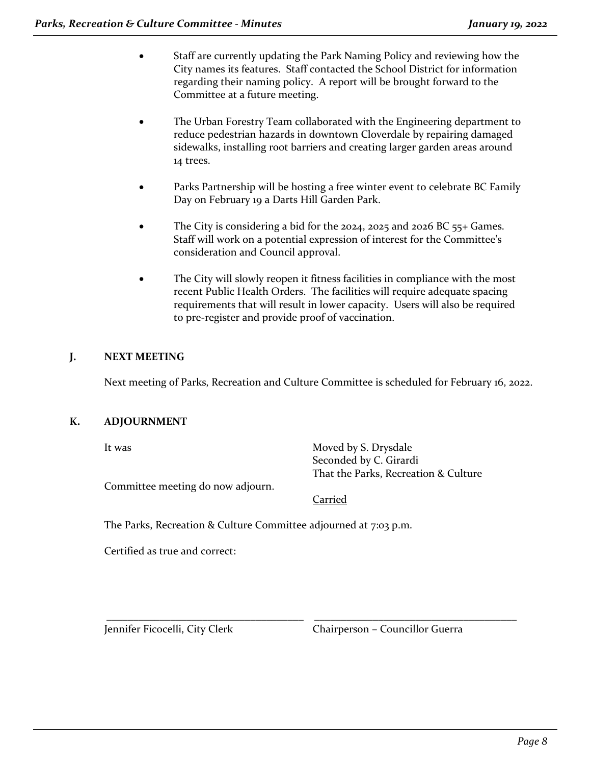- Staff are currently updating the Park Naming Policy and reviewing how the City names its features. Staff contacted the School District for information regarding their naming policy. A report will be brought forward to the Committee at a future meeting.
- The Urban Forestry Team collaborated with the Engineering department to reduce pedestrian hazards in downtown Cloverdale by repairing damaged sidewalks, installing root barriers and creating larger garden areas around 14 trees.
- Parks Partnership will be hosting a free winter event to celebrate BC Family Day on February 19 a Darts Hill Garden Park.
- The City is considering a bid for the 2024, 2025 and 2026 BC 55+ Games. Staff will work on a potential expression of interest for the Committee's consideration and Council approval.
- The City will slowly reopen it fitness facilities in compliance with the most recent Public Health Orders. The facilities will require adequate spacing requirements that will result in lower capacity. Users will also be required to pre-register and provide proof of vaccination.

## **J. NEXT MEETING**

Next meeting of Parks, Recreation and Culture Committee is scheduled for February 16, 2022.

## **K. ADJOURNMENT**

It was Moved by S. Drysdale Seconded by C. Girardi That the Parks, Recreation & Culture

Committee meeting do now adjourn.

Carried

\_\_\_\_\_\_\_\_\_\_\_\_\_\_\_\_\_\_\_\_\_\_\_\_\_\_\_\_\_\_\_\_\_\_\_\_\_ \_\_\_\_\_\_\_\_\_\_\_\_\_\_\_\_\_\_\_\_\_\_\_\_\_\_\_\_\_\_\_\_\_\_\_\_\_\_

The Parks, Recreation & Culture Committee adjourned at 7:03 p.m.

Certified as true and correct:

Jennifer Ficocelli, City Clerk Chairperson – Councillor Guerra